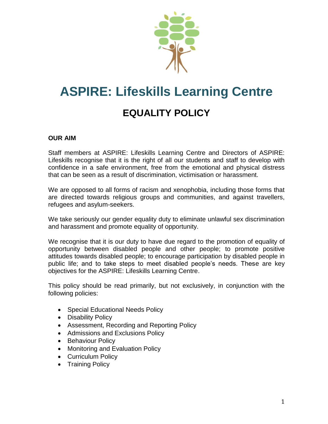

# **ASPIRE: Lifeskills Learning Centre EQUALITY POLICY**

## **OUR AIM**

Staff members at ASPIRE: Lifeskills Learning Centre and Directors of ASPIRE: Lifeskills recognise that it is the right of all our students and staff to develop with confidence in a safe environment, free from the emotional and physical distress that can be seen as a result of discrimination, victimisation or harassment.

We are opposed to all forms of racism and xenophobia, including those forms that are directed towards religious groups and communities, and against travellers, refugees and asylum-seekers.

We take seriously our gender equality duty to eliminate unlawful sex discrimination and harassment and promote equality of opportunity.

We recognise that it is our duty to have due regard to the promotion of equality of opportunity between disabled people and other people; to promote positive attitudes towards disabled people; to encourage participation by disabled people in public life; and to take steps to meet disabled people's needs. These are key objectives for the ASPIRE: Lifeskills Learning Centre.

This policy should be read primarily, but not exclusively, in conjunction with the following policies:

- Special Educational Needs Policy
- Disability Policy
- Assessment, Recording and Reporting Policy
- Admissions and Exclusions Policy
- Behaviour Policy
- Monitoring and Evaluation Policy
- Curriculum Policy
- Training Policy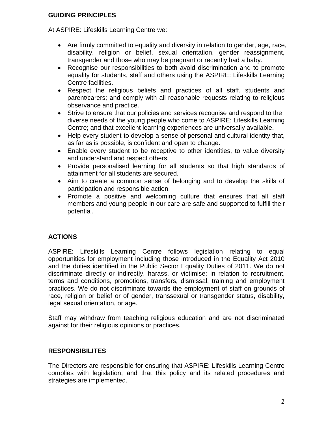### **GUIDING PRINCIPLES**

At ASPIRE: Lifeskills Learning Centre we:

- Are firmly committed to equality and diversity in relation to gender, age, race, disability, religion or belief, sexual orientation, gender reassignment, transgender and those who may be pregnant or recently had a baby.
- Recognise our responsibilities to both avoid discrimination and to promote equality for students, staff and others using the ASPIRE: Lifeskills Learning Centre facilities.
- Respect the religious beliefs and practices of all staff, students and parent/carers; and comply with all reasonable requests relating to religious observance and practice.
- Strive to ensure that our policies and services recognise and respond to the diverse needs of the young people who come to ASPIRE: Lifeskills Learning Centre; and that excellent learning experiences are universally available.
- Help every student to develop a sense of personal and cultural identity that, as far as is possible, is confident and open to change.
- Enable every student to be receptive to other identities, to value diversity and understand and respect others.
- Provide personalised learning for all students so that high standards of attainment for all students are secured.
- Aim to create a common sense of belonging and to develop the skills of participation and responsible action.
- Promote a positive and welcoming culture that ensures that all staff members and young people in our care are safe and supported to fulfill their potential.

# **ACTIONS**

ASPIRE: Lifeskills Learning Centre follows legislation relating to equal opportunities for employment including those introduced in the Equality Act 2010 and the duties identified in the Public Sector Equality Duties of 2011. We do not discriminate directly or indirectly, harass, or victimise; in relation to recruitment, terms and conditions, promotions, transfers, dismissal, training and employment practices. We do not discriminate towards the employment of staff on grounds of race, religion or belief or of gender, transsexual or transgender status, disability, legal sexual orientation, or age.

Staff may withdraw from teaching religious education and are not discriminated against for their religious opinions or practices.

## **RESPONSIBILITES**

The Directors are responsible for ensuring that ASPIRE: Lifeskills Learning Centre complies with legislation, and that this policy and its related procedures and strategies are implemented.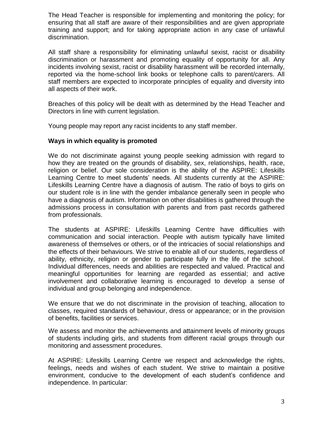The Head Teacher is responsible for implementing and monitoring the policy; for ensuring that all staff are aware of their responsibilities and are given appropriate training and support; and for taking appropriate action in any case of unlawful discrimination.

All staff share a responsibility for eliminating unlawful sexist, racist or disability discrimination or harassment and promoting equality of opportunity for all. Any incidents involving sexist, racist or disability harassment will be recorded internally, reported via the home-school link books or telephone calls to parent/carers. All staff members are expected to incorporate principles of equality and diversity into all aspects of their work.

Breaches of this policy will be dealt with as determined by the Head Teacher and Directors in line with current legislation.

Young people may report any racist incidents to any staff member.

### **Ways in which equality is promoted**

We do not discriminate against young people seeking admission with regard to how they are treated on the grounds of disability, sex, relationships, health, race, religion or belief. Our sole consideration is the ability of the ASPIRE: Lifeskills Learning Centre to meet students' needs. All students currently at the ASPIRE: Lifeskills Learning Centre have a diagnosis of autism. The ratio of boys to girls on our student role is in line with the gender imbalance generally seen in people who have a diagnosis of autism. Information on other disabilities is gathered through the admissions process in consultation with parents and from past records gathered from professionals.

The students at ASPIRE: Lifeskills Learning Centre have difficulties with communication and social interaction. People with autism typically have limited awareness of themselves or others, or of the intricacies of social relationships and the effects of their behaviours. We strive to enable all of our students, regardless of ability, ethnicity, religion or gender to participate fully in the life of the school. Individual differences, needs and abilities are respected and valued. Practical and meaningful opportunities for learning are regarded as essential; and active involvement and collaborative learning is encouraged to develop a sense of individual and group belonging and independence.

We ensure that we do not discriminate in the provision of teaching, allocation to classes, required standards of behaviour, dress or appearance; or in the provision of benefits, facilities or services.

We assess and monitor the achievements and attainment levels of minority groups of students including girls, and students from different racial groups through our monitoring and assessment procedures.

At ASPIRE: Lifeskills Learning Centre we respect and acknowledge the rights, feelings, needs and wishes of each student. We strive to maintain a positive environment, conducive to the development of each student's confidence and independence. In particular: